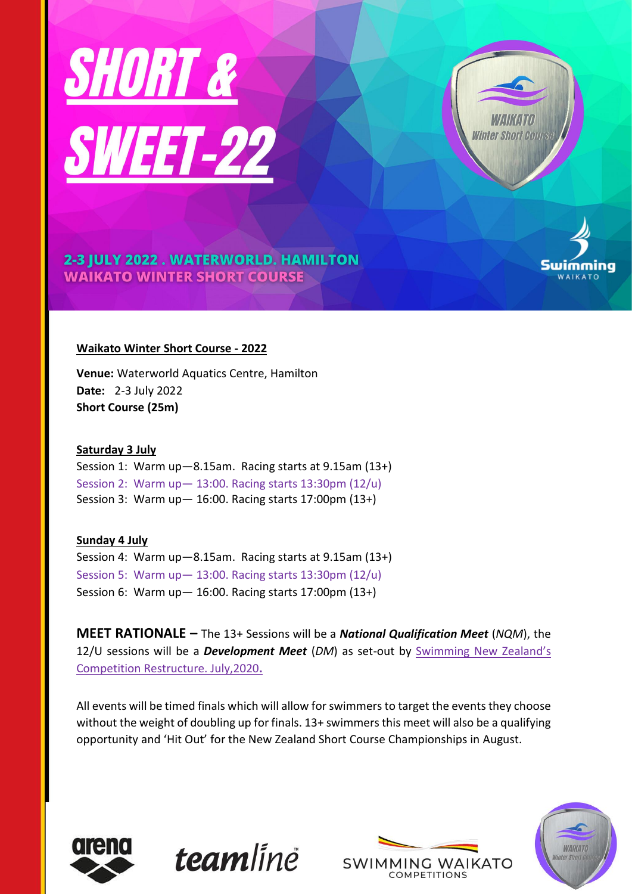



Swimming

2-3 JULY 2022. WATERWORLD. HAMILTON **WAIKATO WINTER SHORT COURSE** 

# **Waikato Winter Short Course - 2022**

**Venue:** Waterworld Aquatics Centre, Hamilton **Date:** 2-3 July 2022 **Short Course (25m)**

## **Saturday 3 July**

Session 1: Warm up—8.15am. Racing starts at 9.15am (13+) Session 2: Warm up— 13:00. Racing starts 13:30pm (12/u) Session 3: Warm up— 16:00. Racing starts 17:00pm (13+)

**Sunday 4 July** Session 4: Warm up—8.15am. Racing starts at 9.15am (13+) Session 5: Warm up— 13:00. Racing starts 13:30pm (12/u) Session 6: Warm up— 16:00. Racing starts 17:00pm (13+)

**MEET RATIONALE –** The 13+ Sessions will be a *National Qualification Meet* (*NQM*), the 12/U sessions will be a *Development Meet* (*DM*) as set-out by [Swimming New Zeal](https://swimming.org.nz/visageimages/Legal%20&%20Governance/Competition%20Restructure%20&%20Competitive%20Pathway%20Review/Competition%20Restructure%20&%20Competitive%20Pathway%20Review%20-%20Final%20Report%20-%20July2020.pdf)and's [Competition Restructure. July,2020](https://swimming.org.nz/visageimages/Legal%20&%20Governance/Competition%20Restructure%20&%20Competitive%20Pathway%20Review/Competition%20Restructure%20&%20Competitive%20Pathway%20Review%20-%20Final%20Report%20-%20July2020.pdf)**.** 

All events will be timed finals which will allow for swimmers to target the events they choose without the weight of doubling up for finals. 13+ swimmers this meet will also be a qualifying opportunity and 'Hit Out' for the New Zealand Short Course Championships in August.



**team**linë



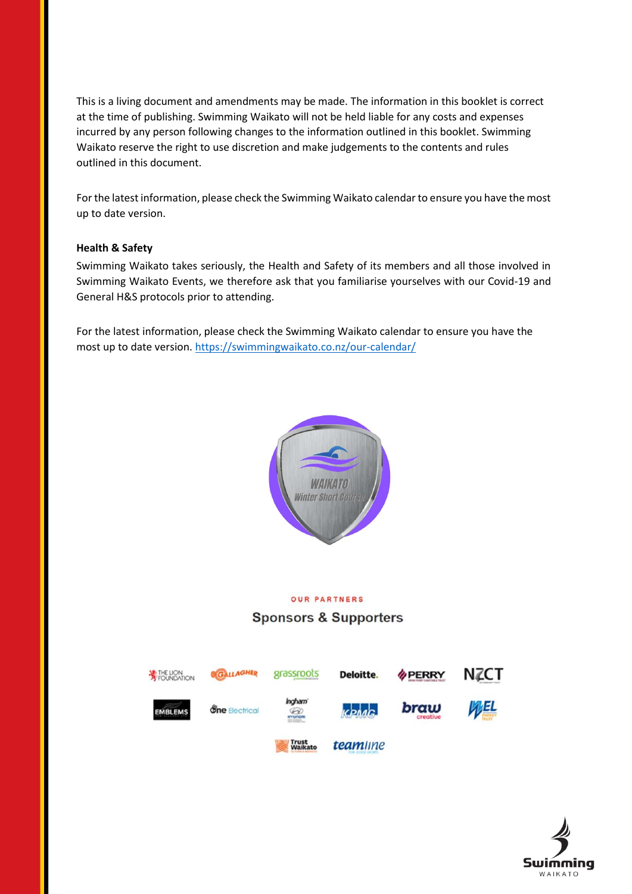This is a living document and amendments may be made. The information in this booklet is correct at the time of publishing. Swimming Waikato will not be held liable for any costs and expenses incurred by any person following changes to the information outlined in this booklet. Swimming Waikato reserve the right to use discretion and make judgements to the contents and rules outlined in this document.

For the latest information, please check the Swimming Waikato calendar to ensure you have the most up to date version.

#### **Health & Safety**

Swimming Waikato takes seriously, the Health and Safety of its members and all those involved in Swimming Waikato Events, we therefore ask that you familiarise yourselves with our Covid-19 and General H&S protocols prior to attending.

For the latest information, please check the Swimming Waikato calendar to ensure you have the most up to date version. <https://swimmingwaikato.co.nz/our-calendar/>



# **OUR PARTNERS**

## **Sponsors & Supporters**



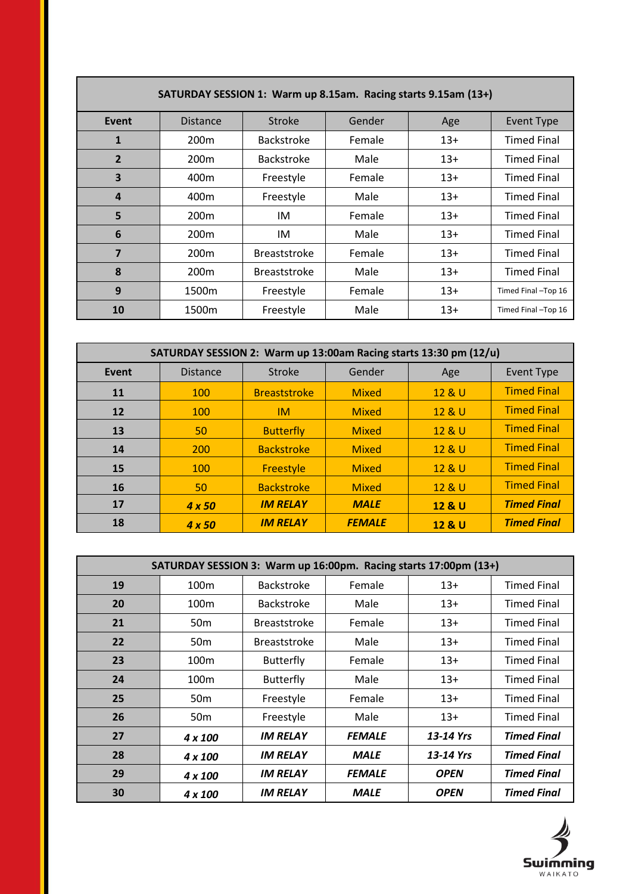| SATURDAY SESSION 1: Warm up 8.15am. Racing starts 9.15am (13+) |                  |                     |        |       |                    |  |
|----------------------------------------------------------------|------------------|---------------------|--------|-------|--------------------|--|
| Event                                                          | <b>Distance</b>  | <b>Stroke</b>       | Gender | Age   | <b>Event Type</b>  |  |
| 1                                                              | 200 <sub>m</sub> | <b>Backstroke</b>   | Female | $13+$ | <b>Timed Final</b> |  |
| $\overline{2}$                                                 | 200 <sub>m</sub> | <b>Backstroke</b>   | Male   | $13+$ | <b>Timed Final</b> |  |
| 3                                                              | 400m             | Freestyle           | Female | $13+$ | <b>Timed Final</b> |  |
| $\boldsymbol{4}$                                               | 400m             | Freestyle           | Male   | $13+$ | <b>Timed Final</b> |  |
| 5                                                              | 200 <sub>m</sub> | IM                  | Female | $13+$ | <b>Timed Final</b> |  |
| 6                                                              | 200 <sub>m</sub> | IM                  | Male   | $13+$ | <b>Timed Final</b> |  |
| 7                                                              | 200 <sub>m</sub> | <b>Breaststroke</b> | Female | $13+$ | <b>Timed Final</b> |  |
| 8                                                              | 200 <sub>m</sub> | <b>Breaststroke</b> | Male   | $13+$ | <b>Timed Final</b> |  |
| 9                                                              | 1500m            | Freestyle           | Female | $13+$ | Timed Final-Top 16 |  |
| 10                                                             | 1500m            | Freestyle           | Male   | $13+$ | Timed Final-Top 16 |  |

**The Common** 

| SATURDAY SESSION 2: Warm up 13:00am Racing starts 13:30 pm (12/u) |                 |                     |               |        |                    |  |
|-------------------------------------------------------------------|-----------------|---------------------|---------------|--------|--------------------|--|
| Event                                                             | <b>Distance</b> | Stroke              | Gender        | Age    | <b>Event Type</b>  |  |
| 11                                                                | 100             | <b>Breaststroke</b> | <b>Mixed</b>  | 12 & U | <b>Timed Final</b> |  |
| 12                                                                | 100             | <b>IM</b>           | <b>Mixed</b>  | 12 & U | <b>Timed Final</b> |  |
| 13                                                                | 50              | <b>Butterfly</b>    | <b>Mixed</b>  | 12 & U | <b>Timed Final</b> |  |
| 14                                                                | 200             | <b>Backstroke</b>   | <b>Mixed</b>  | 12 & U | <b>Timed Final</b> |  |
| 15                                                                | 100             | Freestyle           | <b>Mixed</b>  | 12 & U | <b>Timed Final</b> |  |
| 16                                                                | 50              | <b>Backstroke</b>   | <b>Mixed</b>  | 12 & U | <b>Timed Final</b> |  |
| 17                                                                | $4 \times 50$   | <b>IM RELAY</b>     | <b>MALE</b>   | 12 & U | <b>Timed Final</b> |  |
| 18                                                                | $4 \times 50$   | <b>IM RELAY</b>     | <b>FEMALE</b> | 12 & U | <b>Timed Final</b> |  |

| SATURDAY SESSION 3: Warm up 16:00pm. Racing starts 17:00pm (13+) |                  |                     |               |             |                    |  |
|------------------------------------------------------------------|------------------|---------------------|---------------|-------------|--------------------|--|
| 19                                                               | 100 <sub>m</sub> | <b>Backstroke</b>   | Female        | $13+$       | <b>Timed Final</b> |  |
| 20                                                               | 100 <sub>m</sub> | <b>Backstroke</b>   | Male          | $13+$       | <b>Timed Final</b> |  |
| 21                                                               | 50 <sub>m</sub>  | <b>Breaststroke</b> | Female        | $13+$       | <b>Timed Final</b> |  |
| 22                                                               | 50 <sub>m</sub>  | <b>Breaststroke</b> | Male          | $13+$       | <b>Timed Final</b> |  |
| 23                                                               | 100 <sub>m</sub> | <b>Butterfly</b>    | Female        | $13+$       | <b>Timed Final</b> |  |
| 24                                                               | 100 <sub>m</sub> | <b>Butterfly</b>    | Male          | $13+$       | <b>Timed Final</b> |  |
| 25                                                               | 50 <sub>m</sub>  | Freestyle           | Female        | $13+$       | <b>Timed Final</b> |  |
| 26                                                               | 50 <sub>m</sub>  | Freestyle           | Male          | $13+$       | <b>Timed Final</b> |  |
| 27                                                               | 4 x 100          | <b>IM RELAY</b>     | <b>FEMALE</b> | 13-14 Yrs   | <b>Timed Final</b> |  |
| 28                                                               | 4 x 100          | <b>IM RELAY</b>     | <b>MALE</b>   | 13-14 Yrs   | <b>Timed Final</b> |  |
| 29                                                               | 4 x 100          | <b>IM RELAY</b>     | <b>FEMALE</b> | <b>OPEN</b> | <b>Timed Final</b> |  |
| 30                                                               | 4 x 100          | <b>IM RELAY</b>     | <b>MALE</b>   | <b>OPEN</b> | <b>Timed Final</b> |  |



 $\mathcal{L}_{\mathcal{A}}$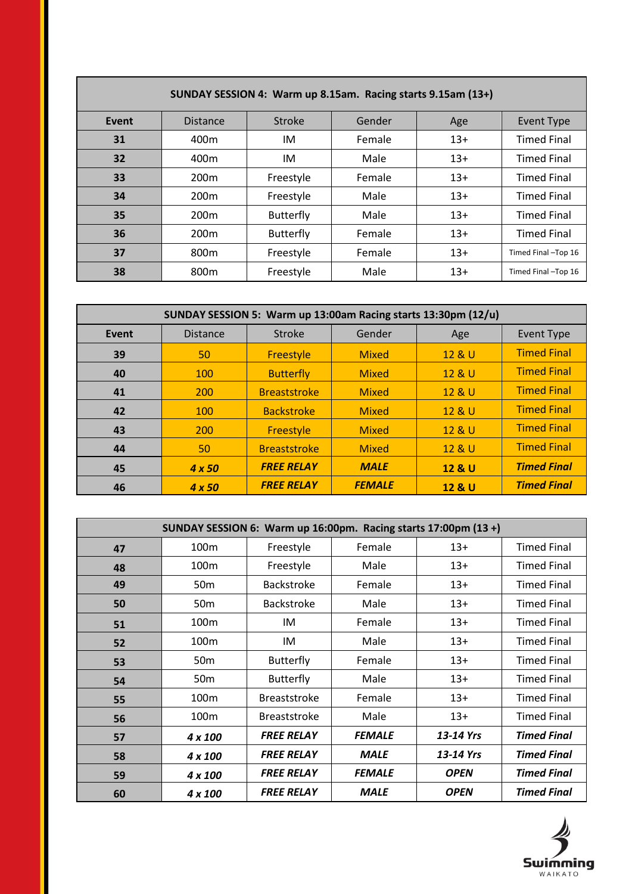| SUNDAY SESSION 4: Warm up 8.15am. Racing starts 9.15am (13+) |                  |                  |        |       |                    |  |
|--------------------------------------------------------------|------------------|------------------|--------|-------|--------------------|--|
| Event                                                        | <b>Distance</b>  | Stroke           | Gender | Age   | <b>Event Type</b>  |  |
| 31                                                           | 400 <sub>m</sub> | IM               | Female | $13+$ | <b>Timed Final</b> |  |
| 32                                                           | 400 <sub>m</sub> | IM               | Male   | $13+$ | <b>Timed Final</b> |  |
| 33                                                           | 200 <sub>m</sub> | Freestyle        | Female | $13+$ | <b>Timed Final</b> |  |
| 34                                                           | 200 <sub>m</sub> | Freestyle        | Male   | $13+$ | <b>Timed Final</b> |  |
| 35                                                           | 200 <sub>m</sub> | <b>Butterfly</b> | Male   | $13+$ | <b>Timed Final</b> |  |
| 36                                                           | 200 <sub>m</sub> | <b>Butterfly</b> | Female | $13+$ | <b>Timed Final</b> |  |
| 37                                                           | 800 <sub>m</sub> | Freestyle        | Female | $13+$ | Timed Final-Top 16 |  |
| 38                                                           | 800m             | Freestyle        | Male   | $13+$ | Timed Final-Top 16 |  |

**The Common** 

| SUNDAY SESSION 5: Warm up 13:00am Racing starts 13:30pm (12/u) |                 |                     |               |        |                    |  |
|----------------------------------------------------------------|-----------------|---------------------|---------------|--------|--------------------|--|
| Event                                                          | <b>Distance</b> | Stroke              | Gender        | Age    | <b>Event Type</b>  |  |
| 39                                                             | 50              | <b>Freestyle</b>    | <b>Mixed</b>  | 12 & U | <b>Timed Final</b> |  |
| 40                                                             | 100             | <b>Butterfly</b>    | <b>Mixed</b>  | 12 & U | <b>Timed Final</b> |  |
| 41                                                             | 200             | <b>Breaststroke</b> | <b>Mixed</b>  | 12 & U | <b>Timed Final</b> |  |
| 42                                                             | 100             | <b>Backstroke</b>   | <b>Mixed</b>  | 12 & U | <b>Timed Final</b> |  |
| 43                                                             | 200             | <b>Freestyle</b>    | <b>Mixed</b>  | 12 & U | <b>Timed Final</b> |  |
| 44                                                             | 50              | <b>Breaststroke</b> | <b>Mixed</b>  | 12 & U | <b>Timed Final</b> |  |
| 45                                                             | $4 \times 50$   | <b>FREE RELAY</b>   | <b>MALE</b>   | 12 & U | <b>Timed Final</b> |  |
| 46                                                             | $4 \times 50$   | <b>FREE RELAY</b>   | <b>FEMALE</b> | 12 & U | <b>Timed Final</b> |  |

| SUNDAY SESSION 6: Warm up 16:00pm. Racing starts 17:00pm (13 +) |                  |                     |               |             |                    |  |
|-----------------------------------------------------------------|------------------|---------------------|---------------|-------------|--------------------|--|
| 47                                                              | 100 <sub>m</sub> | Freestyle           | Female        | $13+$       | <b>Timed Final</b> |  |
| 48                                                              | 100 <sub>m</sub> | Freestyle           | Male          | $13+$       | <b>Timed Final</b> |  |
| 49                                                              | 50 <sub>m</sub>  | <b>Backstroke</b>   | Female        | $13+$       | <b>Timed Final</b> |  |
| 50                                                              | 50 <sub>m</sub>  | <b>Backstroke</b>   | Male          | $13+$       | <b>Timed Final</b> |  |
| 51                                                              | 100m             | IM                  | Female        | $13+$       | <b>Timed Final</b> |  |
| 52                                                              | 100 <sub>m</sub> | IM                  | Male          | $13+$       | <b>Timed Final</b> |  |
| 53                                                              | 50 <sub>m</sub>  | <b>Butterfly</b>    | Female        | $13+$       | <b>Timed Final</b> |  |
| 54                                                              | 50 <sub>m</sub>  | <b>Butterfly</b>    | Male          | $13+$       | <b>Timed Final</b> |  |
| 55                                                              | 100m             | <b>Breaststroke</b> | Female        | $13+$       | <b>Timed Final</b> |  |
| 56                                                              | 100 <sub>m</sub> | <b>Breaststroke</b> | Male          | $13+$       | <b>Timed Final</b> |  |
| 57                                                              | 4 x 100          | <b>FREE RELAY</b>   | <b>FEMALE</b> | 13-14 Yrs   | <b>Timed Final</b> |  |
| 58                                                              | 4 x 100          | <b>FREE RELAY</b>   | <b>MALE</b>   | 13-14 Yrs   | <b>Timed Final</b> |  |
| 59                                                              | 4 x 100          | <b>FREE RELAY</b>   | <b>FEMALE</b> | <b>OPEN</b> | <b>Timed Final</b> |  |
| 60                                                              | 4 x 100          | <b>FREE RELAY</b>   | <b>MALE</b>   | <b>OPEN</b> | <b>Timed Final</b> |  |

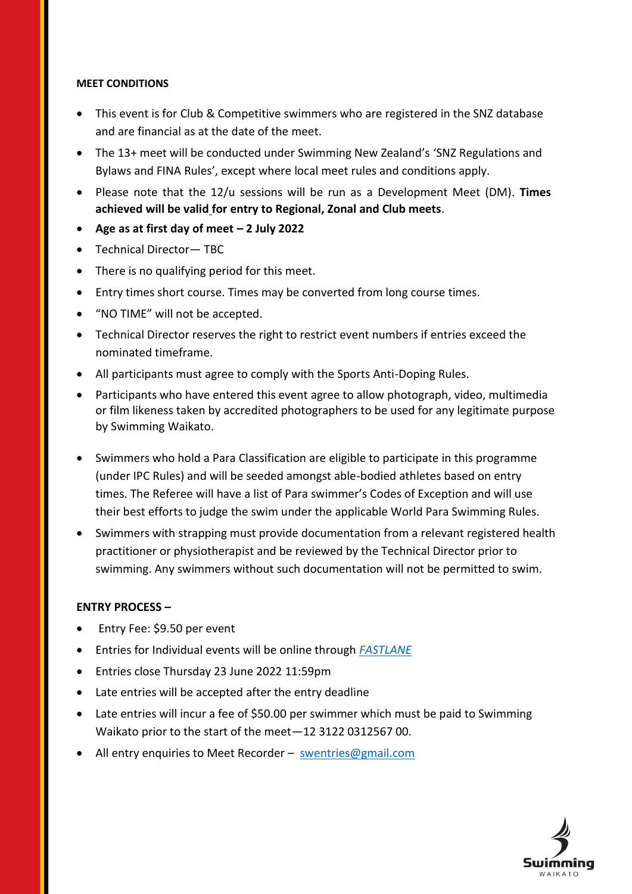## **MEET CONDITIONS**

- This event is for Club & Competitive swimmers who are registered in the SNZ database and are financial as at the date of the meet.
- The 13+ meet will be conducted under Swimming New Zealand's 'SNZ Regulations and Bylaws and FINA Rules', except where local meet rules and conditions apply.
- Please note that the 12/u sessions will be run as a Development Meet (DM). **Times achieved will be valid for entry to Regional, Zonal and Club meets**.
- **Age as at first day of meet – 2 July 2022**
- Technical Director— TBC
- There is no qualifying period for this meet.
- Entry times short course. Times may be converted from long course times.
- "NO TIME" will not be accepted.
- Technical Director reserves the right to restrict event numbers if entries exceed the nominated timeframe.
- All participants must agree to comply with the Sports Anti-Doping Rules.
- Participants who have entered this event agree to allow photograph, video, multimedia or film likeness taken by accredited photographers to be used for any legitimate purpose by Swimming Waikato.
- Swimmers who hold a Para Classification are eligible to participate in this programme (under IPC Rules) and will be seeded amongst able-bodied athletes based on entry times. The Referee will have a list of Para swimmer's Codes of Exception and will use their best efforts to judge the swim under the applicable World Para Swimming Rules.
- Swimmers with strapping must provide documentation from a relevant registered health practitioner or physiotherapist and be reviewed by the Technical Director prior to swimming. Any swimmers without such documentation will not be permitted to swim.

## **ENTRY PROCESS –**

- Entry Fee: \$9.50 per event
- Entries for Individual events will be online through *[FASTLANE](https://fastlane.swimming.org.nz/login)*
- Entries close Thursday 23 June 2022 11:59pm
- Late entries will be accepted after the entry deadline
- Late entries will incur a fee of \$50.00 per swimmer which must be paid to Swimming Waikato prior to the start of the meet—12 3122 0312567 00.
- All entry enquiries to Meet Recorder [swentries@gmail.com](mailto:swentries@gmail.com)

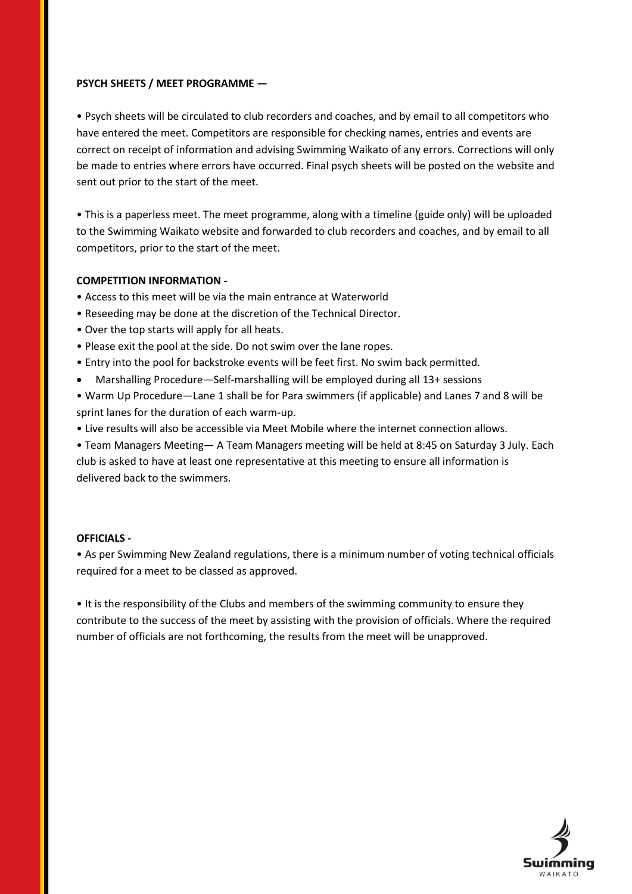### **PSYCH SHEETS / MEET PROGRAMME —**

• Psych sheets will be circulated to club recorders and coaches, and by email to all competitors who have entered the meet. Competitors are responsible for checking names, entries and events are correct on receipt of information and advising Swimming Waikato of any errors. Corrections will only be made to entries where errors have occurred. Final psych sheets will be posted on the website and sent out prior to the start of the meet.

• This is a paperless meet. The meet programme, along with a timeline (guide only) will be uploaded to the Swimming Waikato website and forwarded to club recorders and coaches, and by email to all competitors, prior to the start of the meet.

## **COMPETITION INFORMATION -**

- Access to this meet will be via the main entrance at Waterworld
- Reseeding may be done at the discretion of the Technical Director.
- Over the top starts will apply for all heats.
- Please exit the pool at the side. Do not swim over the lane ropes.
- Entry into the pool for backstroke events will be feet first. No swim back permitted.
- Marshalling Procedure—Self-marshalling will be employed during all 13+ sessions
- Warm Up Procedure—Lane 1 shall be for Para swimmers (if applicable) and Lanes 7 and 8 will be sprint lanes for the duration of each warm-up.
- Live results will also be accessible via Meet Mobile where the internet connection allows.
- Team Managers Meeting— A Team Managers meeting will be held at 8:45 on Saturday 3 July. Each club is asked to have at least one representative at this meeting to ensure all information is delivered back to the swimmers.

#### **OFFICIALS -**

• As per Swimming New Zealand regulations, there is a minimum number of voting technical officials required for a meet to be classed as approved.

• It is the responsibility of the Clubs and members of the swimming community to ensure they contribute to the success of the meet by assisting with the provision of officials. Where the required number of officials are not forthcoming, the results from the meet will be unapproved.

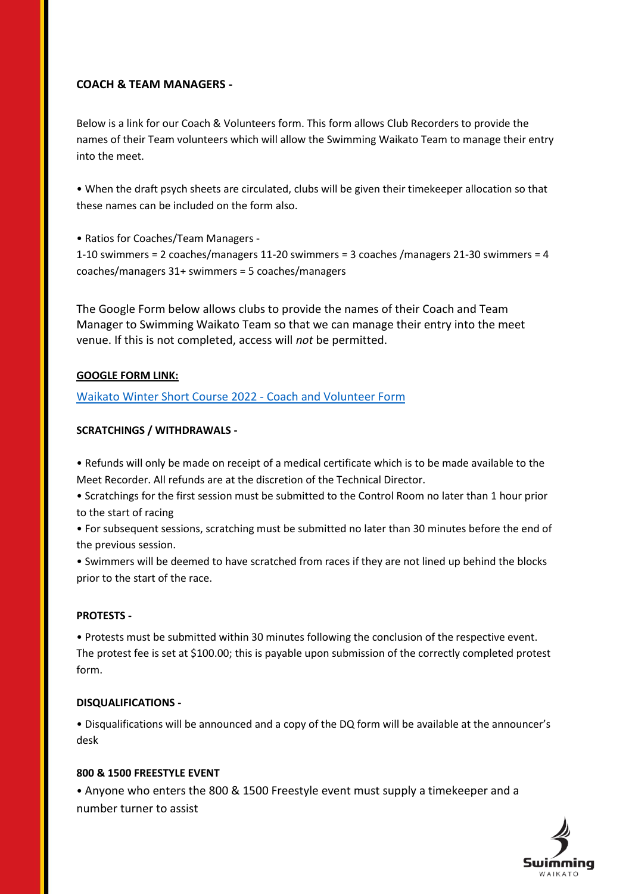# **COACH & TEAM MANAGERS -**

Below is a link for our Coach & Volunteers form. This form allows Club Recorders to provide the names of their Team volunteers which will allow the Swimming Waikato Team to manage their entry into the meet.

• When the draft psych sheets are circulated, clubs will be given their timekeeper allocation so that these names can be included on the form also.

• Ratios for Coaches/Team Managers -

1-10 swimmers = 2 coaches/managers 11-20 swimmers = 3 coaches /managers 21-30 swimmers = 4 coaches/managers 31+ swimmers = 5 coaches/managers

The Google Form below allows clubs to provide the names of their Coach and Team Manager to Swimming Waikato Team so that we can manage their entry into the meet venue. If this is not completed, access will *not* be permitted.

## **GOOGLE FORM LINK:**

[Waikato Winter Short Course](https://scanmail.trustwave.com/?c=16815&d=zfXp4t0Klg-3eKDYjkBPOLCg1iSE52UvIbbzB4HZ0A&s=110&u=https%3a%2f%2fdocs%2egoogle%2ecom%2fforms%2fd%2fe%2f1FAIpQLScsvy7hqfXi%5fBS1bh-qQ3LTDxoSvVQA-WCkFu%5fFK2XieCe81g%2fviewform) 2022 - Coach and Volunteer Form

## **SCRATCHINGS / WITHDRAWALS -**

• Refunds will only be made on receipt of a medical certificate which is to be made available to the Meet Recorder. All refunds are at the discretion of the Technical Director.

• Scratchings for the first session must be submitted to the Control Room no later than 1 hour prior to the start of racing

• For subsequent sessions, scratching must be submitted no later than 30 minutes before the end of the previous session.

• Swimmers will be deemed to have scratched from races if they are not lined up behind the blocks prior to the start of the race.

#### **PROTESTS -**

• Protests must be submitted within 30 minutes following the conclusion of the respective event. The protest fee is set at \$100.00; this is payable upon submission of the correctly completed protest form.

#### **DISQUALIFICATIONS -**

• Disqualifications will be announced and a copy of the DQ form will be available at the announcer's desk

## **800 & 1500 FREESTYLE EVENT**

• Anyone who enters the 800 & 1500 Freestyle event must supply a timekeeper and a number turner to assist

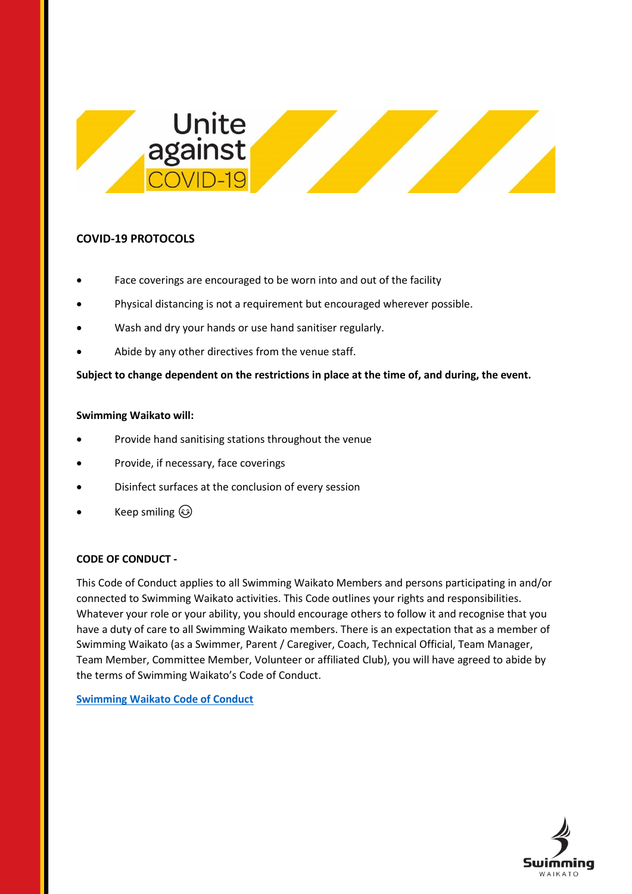

# **COVID-19 PROTOCOLS**

- Face coverings are encouraged to be worn into and out of the facility
- Physical distancing is not a requirement but encouraged wherever possible.
- Wash and dry your hands or use hand sanitiser regularly.
- Abide by any other directives from the venue staff.

**Subject to change dependent on the restrictions in place at the time of, and during, the event.**

#### **Swimming Waikato will:**

- Provide hand sanitising stations throughout the venue
- Provide, if necessary, face coverings
- Disinfect surfaces at the conclusion of every session
- Keep smiling  $\circledS$

## **CODE OF CONDUCT -**

This Code of Conduct applies to all Swimming Waikato Members and persons participating in and/or connected to Swimming Waikato activities. This Code outlines your rights and responsibilities. Whatever your role or your ability, you should encourage others to follow it and recognise that you have a duty of care to all Swimming Waikato members. There is an expectation that as a member of Swimming Waikato (as a Swimmer, Parent / Caregiver, Coach, Technical Official, Team Manager, Team Member, Committee Member, Volunteer or affiliated Club), you will have agreed to abide by the terms of Swimming Waikato's Code of Conduct.

**[Swimming Waikato Code of Conduct](https://swimmingwaikato.co.nz/wp-content/uploads/2021/10/Code_of_Conduct_Amended_2021_22.pdf)**